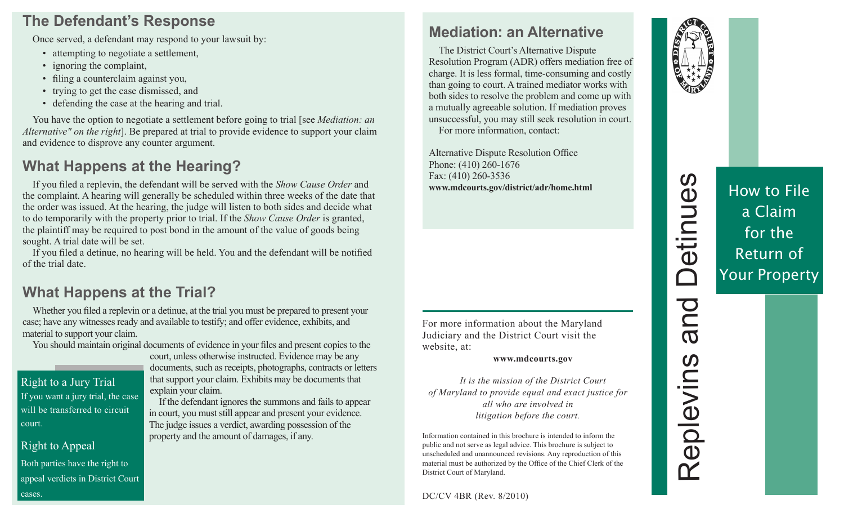#### **The Defendant's Response**

Once served, a defendant may respond to your lawsuit by:

- attempting to negotiate a settlement,
- ignoring the complaint,
- filing a counterclaim against you,
- trying to get the case dismissed, and
- defending the case at the hearing and trial.

You have the option to negotiate a settlement before going to trial [see *Mediation: an Alternative" on the right*]. Be prepared at trial to provide evidence to support your claim and evidence to disprove any counter argument.

# **What Happens at the Hearing?**

If you filed a replevin, the defendant will be served with the *Show Cause Order* and the complaint. A hearing will generally be scheduled within three weeks of the date that the order was issued. At the hearing, the judge will listen to both sides and decide what to do temporarily with the property prior to trial. If the *Show Cause Order* is granted, the plaintiff may be required to post bond in the amount of the value of goods being sought. A trial date will be set.

If you filed a detinue, no hearing will be held. You and the defendant will be notified of the trial date.

# **What Happens at the Trial?**

Whether you filed a replevin or a detinue, at the trial you must be prepared to present your case; have any witnesses ready and available to testify; and offer evidence, exhibits, and material to support your claim.

You should maintain original documents of evidence in your files and present copies to the

#### Right to a Jury Trial

If you want a jury trial, the case will be transferred to circuit court.

#### Right to Appeal

Both parties have the right to appeal verdicts in District Court cases.

court, unless otherwise instructed. Evidence may be any documents, such as receipts, photographs, contracts or letters that support your claim. Exhibits may be documents that explain your claim.

If the defendant ignores the summons and fails to appear in court, you must still appear and present your evidence. The judge issues a verdict, awarding possession of the property and the amount of damages, if any.

# **Mediation: an Alternative**

The District Court's Alternative Dispute Resolution Program (ADR) offers mediation free of charge. It is less formal, time-consuming and costly than going to court. A trained mediator works with both sides to resolve the problem and come up with a mutually agreeable solution. If mediation proves unsuccessful, you may still seek resolution in court. For more information, contact:

Alternative Dispute Resolution Office Phone: (410) 260-1676 Fax: (410) 260-3536 **www.mdcourts.gov/district/adr/home.html**

For more information about the Maryland Judiciary and the District Court visit the website, at:

#### **www.mdcourts.gov**

*It is the mission of the District Court of Maryland to provide equal and exact justice for all who are involved in litigation before the court.* 

Information contained in this brochure is intended to inform the public and not serve as legal advice. This brochure is subject to unscheduled and unannounced revisions. Any reproduction of this material must be authorized by the Office of the Chief Clerk of the District Court of Maryland.

DC/CV 4BR (Rev. 8/2010)



Replevins and Detinues

Replevins

and

Detinues

# How to File a Claim for the Return of Your Property